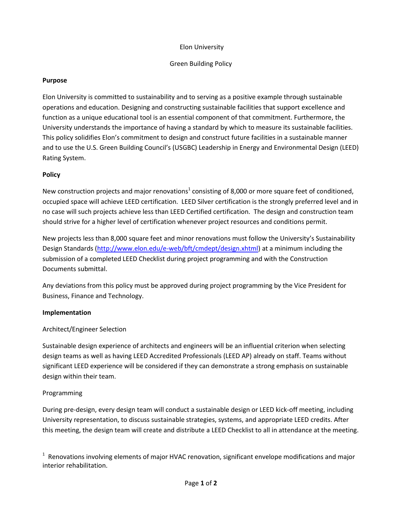### Elon University

### Green Building Policy

#### **Purpose**

Elon University is committed to sustainability and to serving as a positive example through sustainable operations and education. Designing and constructing sustainable facilities that support excellence and function as a unique educational tool is an essential component of that commitment. Furthermore, the University understands the importance of having a standard by which to measure its sustainable facilities. This policy solidifies Elon's commitment to design and construct future facilities in a sustainable manner and to use the U.S. Green Building Council's (USGBC) Leadership in Energy and Environmental Design (LEED) Rating System.

#### **Policy**

New construction projects and major renovations<sup>1</sup> consisting of 8,000 or more square feet of conditioned, occupied space will achieve LEED certification. LEED Silver certification is the strongly preferred level and in no case will such projects achieve less than LEED Certified certification. The design and construction team should strive for a higher level of certification whenever project resources and conditions permit.

New projects less than 8,000 square feet and minor renovations must follow the University's Sustainability Design Standards [\(http://www.elon.edu/e-web/bft/cmdept/design.xhtml\)](http://www.elon.edu/e-web/bft/cmdept/design.xhtml) at a minimum including the submission of a completed LEED Checklist during project programming and with the Construction Documents submittal.

Any deviations from this policy must be approved during project programming by the Vice President for Business, Finance and Technology.

#### **Implementation**

## Architect/Engineer Selection

Sustainable design experience of architects and engineers will be an influential criterion when selecting design teams as well as having LEED Accredited Professionals (LEED AP) already on staff. Teams without significant LEED experience will be considered if they can demonstrate a strong emphasis on sustainable design within their team.

#### Programming

During pre-design, every design team will conduct a sustainable design or LEED kick-off meeting, including University representation, to discuss sustainable strategies, systems, and appropriate LEED credits. After this meeting, the design team will create and distribute a LEED Checklist to all in attendance at the meeting.

 $1$  Renovations involving elements of major HVAC renovation, significant envelope modifications and major interior rehabilitation.